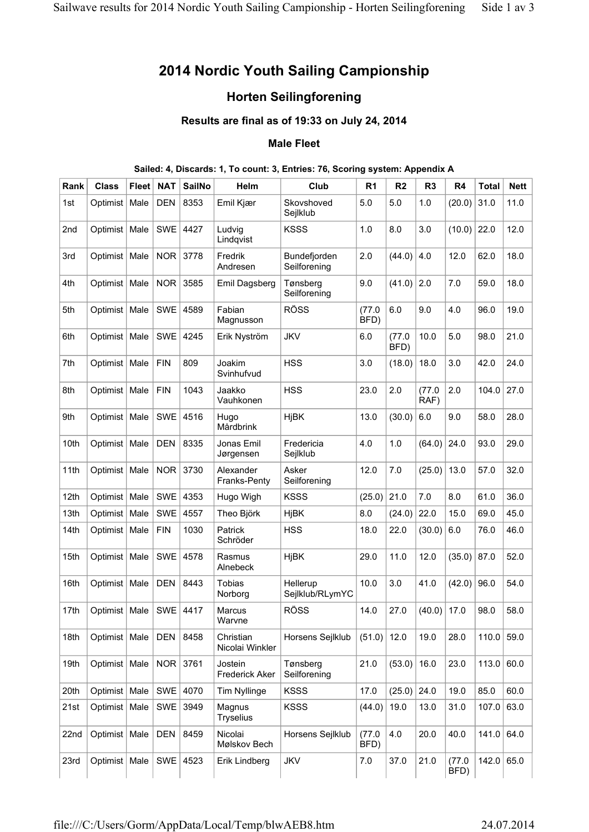# **2014 Nordic Youth Sailing Campionship**

## **Horten Seilingforening**

## **Results are final as of 19:33 on July 24, 2014**

#### **Male Fleet**

### **Sailed: 4, Discards: 1, To count: 3, Entries: 76, Scoring system: Appendix A**

| Rank             | <b>Class</b>    | <b>Fleet</b> | <b>NAT</b> | <b>SailNo</b> | Helm                             | Club                         | R <sub>1</sub> | R <sub>2</sub> | R <sub>3</sub> | R <sub>4</sub> | <b>Total</b> | <b>Nett</b> |
|------------------|-----------------|--------------|------------|---------------|----------------------------------|------------------------------|----------------|----------------|----------------|----------------|--------------|-------------|
| 1st              | Optimist        | Male         | <b>DEN</b> | 8353          | Emil Kjær                        | Skovshoved<br>Sejlklub       | 5.0            | 5.0            | 1.0            | (20.0)         | 31.0         | 11.0        |
| 2nd              | Optimist        | Male         | <b>SWE</b> | 4427          | Ludvig<br>Lindqvist              | <b>KSSS</b>                  | 1.0            | 8.0            | 3.0            | (10.0)         | 22.0         | 12.0        |
| 3rd              | Optimist   Male |              | <b>NOR</b> | 3778          | Fredrik<br>Andresen              | Bundefjorden<br>Seilforening | 2.0            | (44.0)         | 4.0            | 12.0           | 62.0         | 18.0        |
| 4th              | Optimist   Male |              | <b>NOR</b> | 3585          | Emil Dagsberg                    | Tønsberg<br>Seilforening     | 9.0            | (41.0)         | 2.0            | 7.0            | 59.0         | 18.0        |
| 5th              | Optimist   Male |              | <b>SWE</b> | 4589          | Fabian<br>Magnusson              | <b>RÖSS</b>                  | (77.0<br>BFD)  | 6.0            | 9.0            | 4.0            | 96.0         | 19.0        |
| 6th              | Optimist   Male |              | <b>SWE</b> | 4245          | Erik Nyström                     | <b>JKV</b>                   | 6.0            | (77.0<br>BFD)  | 10.0           | 5.0            | 98.0         | 21.0        |
| 7th              | Optimist   Male |              | <b>FIN</b> | 809           | Joakim<br>Svinhufvud             | <b>HSS</b>                   | 3.0            | (18.0)         | 18.0           | 3.0            | 42.0         | 24.0        |
| 8th              | Optimist   Male |              | <b>FIN</b> | 1043          | Jaakko<br>Vauhkonen              | <b>HSS</b>                   | 23.0           | 2.0            | (77.0<br>RAF)  | 2.0            | 104.0        | 27.0        |
| 9th              | Optimist        | Male         | <b>SWE</b> | 4516          | Hugo<br>Mårdbrink                | <b>HjBK</b>                  | 13.0           | (30.0)         | 6.0            | 9.0            | 58.0         | 28.0        |
| 10th             | Optimist   Male |              | <b>DEN</b> | 8335          | Jonas Emil<br>Jørgensen          | Fredericia<br>Sejlklub       | 4.0            | 1.0            | (64.0)         | 24.0           | 93.0         | 29.0        |
| 11th             | Optimist   Male |              | <b>NOR</b> | 3730          | Alexander<br>Franks-Penty        | Asker<br>Seilforening        | 12.0           | 7.0            | (25.0)         | 13.0           | 57.0         | 32.0        |
| 12th             | Optimist        | Male         | <b>SWE</b> | 4353          | Hugo Wigh                        | <b>KSSS</b>                  | (25.0)         | 21.0           | 7.0            | 8.0            | 61.0         | 36.0        |
| 13th             | Optimist        | Male         | <b>SWE</b> | 4557          | Theo Björk                       | <b>HjBK</b>                  | 8.0            | (24.0)         | 22.0           | 15.0           | 69.0         | 45.0        |
| 14 <sub>th</sub> | Optimist        | Male         | <b>FIN</b> | 1030          | Patrick<br>Schröder              | <b>HSS</b>                   | 18.0           | 22.0           | (30.0)         | 6.0            | 76.0         | 46.0        |
| 15th             | Optimist   Male |              | <b>SWE</b> | 4578          | Rasmus<br>Alnebeck               | <b>HjBK</b>                  | 29.0           | 11.0           | 12.0           | (35.0)         | 87.0         | 52.0        |
| 16th             | Optimist   Male |              | <b>DEN</b> | 8443          | Tobias<br>Norborg                | Hellerup<br>Sejlklub/RLymYC  | 10.0           | 3.0            | 41.0           | (42.0)         | 96.0         | 54.0        |
| 17th             | Optimist   Male |              | <b>SWE</b> | 4417          | Marcus<br>Warvne                 | <b>RÖSS</b>                  | 14.0           | 27.0           | (40.0)         | 17.0           | 98.0         | 58.0        |
| 18th             | Optimist   Male |              | <b>DEN</b> | 8458          | Christian<br>Nicolai Winkler     | Horsens Sejlklub             | (51.0)         | 12.0           | 19.0           | 28.0           | 110.0        | 59.0        |
| 19th             | Optimist   Male |              | <b>NOR</b> | 3761          | Jostein<br><b>Frederick Aker</b> | Tønsberg<br>Seilforening     | 21.0           | (53.0)         | 16.0           | 23.0           | 113.0        | 60.0        |
| 20th             | Optimist   Male |              | SWE        | 4070          | <b>Tim Nyllinge</b>              | <b>KSSS</b>                  | 17.0           | (25.0)         | 24.0           | 19.0           | 85.0         | 60.0        |
| 21st             | Optimist   Male |              | SWE        | 3949          | Magnus<br><b>Tryselius</b>       | <b>KSSS</b>                  | (44.0)         | 19.0           | 13.0           | 31.0           | 107.0        | 63.0        |
| 22nd             | Optimist   Male |              | <b>DEN</b> | 8459          | Nicolai<br>Mølskov Bech          | Horsens Sejlklub             | (77.0<br>BFD)  | 4.0            | 20.0           | 40.0           | 141.0        | 64.0        |
| 23rd             | Optimist   Male |              | SWE        | 4523          | Erik Lindberg                    | <b>JKV</b>                   | 7.0            | 37.0           | 21.0           | (77.0)<br>BFD) | 142.0        | 65.0        |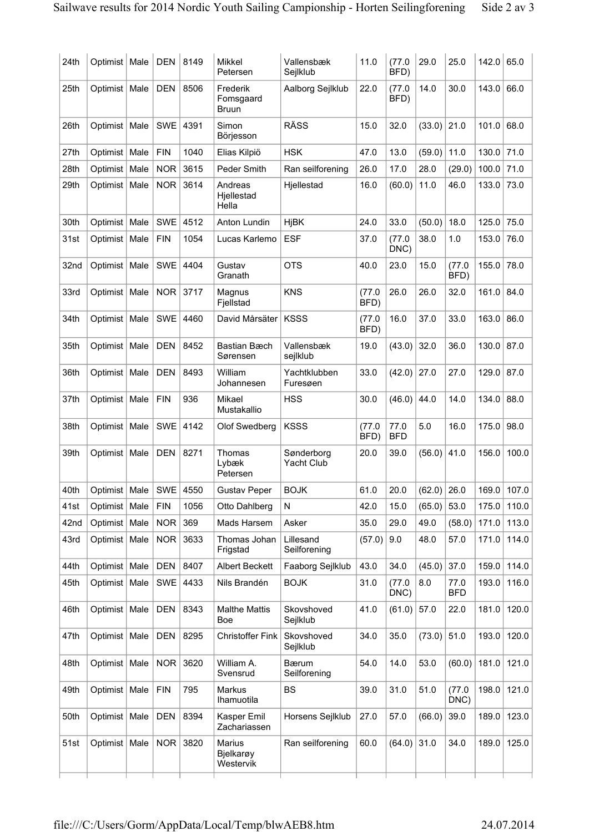| 24th | Optimist   Male |      | <b>DEN</b> | 8149 | <b>Mikkel</b>                         | Vallensbæk                | 11.0           | (77.0)<br>BFD)     | 29.0          | 25.0               | 142.0 | 65.0  |
|------|-----------------|------|------------|------|---------------------------------------|---------------------------|----------------|--------------------|---------------|--------------------|-------|-------|
|      |                 |      |            |      | Petersen                              | Sejlklub                  |                |                    |               |                    |       |       |
| 25th | Optimist   Male |      | <b>DEN</b> | 8506 | Frederik<br>Fomsgaard<br><b>Bruun</b> | Aalborg Sejlklub          | 22.0           | (77.0<br>BFD)      | 14.0          | 30.0               | 143.0 | 66.0  |
| 26th | Optimist        | Male | <b>SWE</b> | 4391 | Simon<br>Börjesson                    | <b>RÄSS</b>               | 15.0           | 32.0               | (33.0)        | 21.0               | 101.0 | 68.0  |
| 27th | Optimist        | Male | <b>FIN</b> | 1040 | Elias Kilpiö                          | <b>HSK</b>                | 47.0           | 13.0               | (59.0)        | 11.0               | 130.0 | 71.0  |
| 28th | Optimist        | Male | <b>NOR</b> | 3615 | Peder Smith                           | Ran seilforening          | 26.0           | 17.0               | 28.0          | (29.0)             | 100.0 | 71.0  |
| 29th | Optimist        | Male | <b>NOR</b> | 3614 | Andreas<br>Hjellestad<br>Hella        | Hjellestad                | 16.0           | (60.0)             | 11.0          | 46.0               | 133.0 | 73.0  |
| 30th | Optimist        | Male | <b>SWE</b> | 4512 | Anton Lundin                          | <b>HjBK</b>               | 24.0           | 33.0               | (50.0)        | 18.0               | 125.0 | 75.0  |
| 31st | Optimist        | Male | <b>FIN</b> | 1054 | Lucas Karlemo                         | <b>ESF</b>                | 37.0           | (77.0)<br>DNC)     | 38.0          | 1.0                | 153.0 | 76.0  |
| 32nd | Optimist        | Male | <b>SWE</b> | 4404 | Gustav<br>Granath                     | <b>OTS</b>                | 40.0           | 23.0               | 15.0          | (77.0<br>BFD)      | 155.0 | 78.0  |
| 33rd | Optimist   Male |      | <b>NOR</b> | 3717 | Magnus<br>Fjellstad                   | <b>KNS</b>                | (77.0<br>BFD)  | 26.0               | 26.0          | 32.0               | 161.0 | 84.0  |
| 34th | Optimist   Male |      | <b>SWE</b> | 4460 | David Mårsäter                        | <b>KSSS</b>               | (77.0)<br>BFD) | 16.0               | 37.0          | 33.0               | 163.0 | 86.0  |
| 35th | Optimist        | Male | <b>DEN</b> | 8452 | <b>Bastian Bæch</b><br>Sørensen       | Vallensbæk<br>sejlklub    | 19.0           | (43.0)             | 32.0          | 36.0               | 130.0 | 87.0  |
| 36th | Optimist   Male |      | <b>DEN</b> | 8493 | William<br>Johannesen                 | Yachtklubben<br>Furesøen  | 33.0           | (42.0)             | 27.0          | 27.0               | 129.0 | 87.0  |
| 37th | Optimist   Male |      | <b>FIN</b> | 936  | Mikael<br>Mustakallio                 | <b>HSS</b>                | 30.0           | (46.0)             | 44.0          | 14.0               | 134.0 | 88.0  |
| 38th | Optimist   Male |      | <b>SWE</b> | 4142 | Olof Swedberg                         | <b>KSSS</b>               | (77.0)<br>BFD) | 77.0<br><b>BFD</b> | 5.0           | 16.0               | 175.0 | 98.0  |
| 39th | Optimist        | Male | <b>DEN</b> | 8271 | Thomas<br>Lybæk<br>Petersen           | Sønderborg<br>Yacht Club  | 20.0           | 39.0               | (56.0)        | 41.0               | 156.0 | 100.0 |
| 40th | Optimist   Male |      | SWE        | 4550 | <b>Gustav Peper</b>                   | <b>BOJK</b>               | 61.0           | 20.0               | $(62.0)$ 26.0 |                    | 169.0 | 107.0 |
| 41st | Optimist   Male |      | <b>FIN</b> | 1056 | Otto Dahlberg                         | N                         | 42.0           | 15.0               | (65.0)        | 53.0               | 175.0 | 110.0 |
| 42nd | Optimist        | Male | <b>NOR</b> | 369  | Mads Harsem                           | Asker                     | 35.0           | 29.0               | 49.0          | (58.0)             | 171.0 | 113.0 |
| 43rd | Optimist   Male |      | <b>NOR</b> | 3633 | Thomas Johan<br>Frigstad              | Lillesand<br>Seilforening | (57.0)         | 9.0                | 48.0          | 57.0               | 171.0 | 114.0 |
| 44th | Optimist   Male |      | <b>DEN</b> | 8407 | <b>Albert Beckett</b>                 | Faaborg Sejlklub          | 43.0           | 34.0               | (45.0)        | 37.0               | 159.0 | 114.0 |
| 45th | Optimist   Male |      | SWE        | 4433 | Nils Brandén                          | <b>BOJK</b>               | 31.0           | (77.0<br>DNC)      | 8.0           | 77.0<br><b>BFD</b> | 193.0 | 116.0 |
| 46th | Optimist   Male |      | <b>DEN</b> | 8343 | <b>Malthe Mattis</b><br>Boe           | Skovshoved<br>Sejlklub    | 41.0           | (61.0)             | 57.0          | 22.0               | 181.0 | 120.0 |
| 47th | Optimist   Male |      | <b>DEN</b> | 8295 | <b>Christoffer Fink</b>               | Skovshoved<br>Sejlklub    | 34.0           | 35.0               | (73.0)        | 51.0               | 193.0 | 120.0 |
| 48th | Optimist   Male |      | <b>NOR</b> | 3620 | William A.<br>Svensrud                | Bærum<br>Seilforening     | 54.0           | 14.0               | 53.0          | (60.0)             | 181.0 | 121.0 |
| 49th | Optimist   Male |      | <b>FIN</b> | 795  | Markus<br>Ihamuotila                  | <b>BS</b>                 | 39.0           | 31.0               | 51.0          | (77.0<br>DNC)      | 198.0 | 121.0 |
| 50th | Optimist   Male |      | <b>DEN</b> | 8394 | Kasper Emil<br>Zachariassen           | Horsens Sejlklub          | 27.0           | 57.0               | (66.0)        | 39.0               | 189.0 | 123.0 |
| 51st | Optimist   Male |      | <b>NOR</b> | 3820 | Marius<br>Bjelkarøy<br>Westervik      | Ran seilforening          | 60.0           | $(64.0)$ 31.0      |               | 34.0               | 189.0 | 125.0 |
|      |                 |      |            |      |                                       |                           |                |                    |               |                    |       |       |